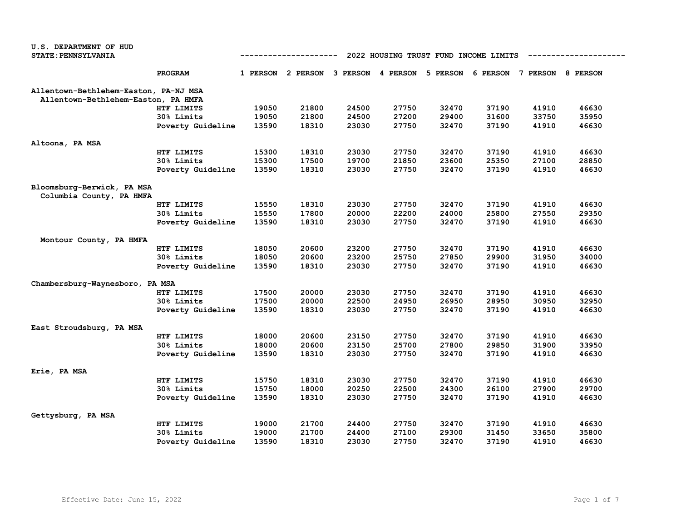| U.S. DEPARTMENT OF HUD                                 |                   |                                                      |                                              |       |       |       |       |                            |       |  |
|--------------------------------------------------------|-------------------|------------------------------------------------------|----------------------------------------------|-------|-------|-------|-------|----------------------------|-------|--|
| <b>STATE: PENNSYLVANIA</b>                             |                   | 2022 HOUSING TRUST FUND INCOME LIMITS<br>----------- |                                              |       |       |       |       |                            |       |  |
|                                                        | PROGRAM           |                                                      | 1 PERSON 2 PERSON 3 PERSON 4 PERSON 5 PERSON |       |       |       |       | 6 PERSON 7 PERSON 8 PERSON |       |  |
| Allentown-Bethlehem-Easton, PA-NJ MSA                  |                   |                                                      |                                              |       |       |       |       |                            |       |  |
| Allentown-Bethlehem-Easton, PA HMFA                    |                   |                                                      |                                              |       |       |       |       |                            |       |  |
|                                                        | HTF LIMITS        | 19050                                                | 21800                                        | 24500 | 27750 | 32470 | 37190 | 41910                      | 46630 |  |
|                                                        | 30% Limits        | 19050                                                | 21800                                        | 24500 | 27200 | 29400 | 31600 | 33750                      | 35950 |  |
|                                                        | Poverty Guideline | 13590                                                | 18310                                        | 23030 | 27750 | 32470 | 37190 | 41910                      | 46630 |  |
| Altoona, PA MSA                                        |                   |                                                      |                                              |       |       |       |       |                            |       |  |
|                                                        | HTF LIMITS        | 15300                                                | 18310                                        | 23030 | 27750 | 32470 | 37190 | 41910                      | 46630 |  |
|                                                        | 30% Limits        | 15300                                                | 17500                                        | 19700 | 21850 | 23600 | 25350 | 27100                      | 28850 |  |
|                                                        | Poverty Guideline | 13590                                                | 18310                                        | 23030 | 27750 | 32470 | 37190 | 41910                      | 46630 |  |
| Bloomsburg-Berwick, PA MSA<br>Columbia County, PA HMFA |                   |                                                      |                                              |       |       |       |       |                            |       |  |
|                                                        | HTF LIMITS        | 15550                                                | 18310                                        | 23030 | 27750 | 32470 | 37190 | 41910                      | 46630 |  |
|                                                        | 30% Limits        | 15550                                                | 17800                                        | 20000 | 22200 | 24000 | 25800 | 27550                      | 29350 |  |
|                                                        | Poverty Guideline | 13590                                                | 18310                                        | 23030 | 27750 | 32470 | 37190 | 41910                      | 46630 |  |
| Montour County, PA HMFA                                |                   |                                                      |                                              |       |       |       |       |                            |       |  |
|                                                        | HTF LIMITS        | 18050                                                | 20600                                        | 23200 | 27750 | 32470 | 37190 | 41910                      | 46630 |  |
|                                                        | 30% Limits        | 18050                                                | 20600                                        | 23200 | 25750 | 27850 | 29900 | 31950                      | 34000 |  |
|                                                        | Poverty Guideline | 13590                                                | 18310                                        | 23030 | 27750 | 32470 | 37190 | 41910                      | 46630 |  |
| Chambersburg-Waynesboro, PA MSA                        |                   |                                                      |                                              |       |       |       |       |                            |       |  |
|                                                        | HTF LIMITS        | 17500                                                | 20000                                        | 23030 | 27750 | 32470 | 37190 | 41910                      | 46630 |  |
|                                                        | 30% Limits        | 17500                                                | 20000                                        | 22500 | 24950 | 26950 | 28950 | 30950                      | 32950 |  |
|                                                        | Poverty Guideline | 13590                                                | 18310                                        | 23030 | 27750 | 32470 | 37190 | 41910                      | 46630 |  |
| East Stroudsburg, PA MSA                               |                   |                                                      |                                              |       |       |       |       |                            |       |  |
|                                                        | HTF LIMITS        | 18000                                                | 20600                                        | 23150 | 27750 | 32470 | 37190 | 41910                      | 46630 |  |
|                                                        | 30% Limits        | 18000                                                | 20600                                        | 23150 | 25700 | 27800 | 29850 | 31900                      | 33950 |  |
|                                                        | Poverty Guideline | 13590                                                | 18310                                        | 23030 | 27750 | 32470 | 37190 | 41910                      | 46630 |  |
| Erie, PA MSA                                           |                   |                                                      |                                              |       |       |       |       |                            |       |  |
|                                                        | HTF LIMITS        | 15750                                                | 18310                                        | 23030 | 27750 | 32470 | 37190 | 41910                      | 46630 |  |
|                                                        | 30% Limits        | 15750                                                | 18000                                        | 20250 | 22500 | 24300 | 26100 | 27900                      | 29700 |  |
|                                                        | Poverty Guideline | 13590                                                | 18310                                        | 23030 | 27750 | 32470 | 37190 | 41910                      | 46630 |  |
| Gettysburg, PA MSA                                     |                   |                                                      |                                              |       |       |       |       |                            |       |  |
|                                                        | HTF LIMITS        | 19000                                                | 21700                                        | 24400 | 27750 | 32470 | 37190 | 41910                      | 46630 |  |
|                                                        | <b>30% Limits</b> | 19000                                                | 21700                                        | 24400 | 27100 | 29300 | 31450 | 33650                      | 35800 |  |
|                                                        | Poverty Guideline | 13590                                                | 18310                                        | 23030 | 27750 | 32470 | 37190 | 41910                      | 46630 |  |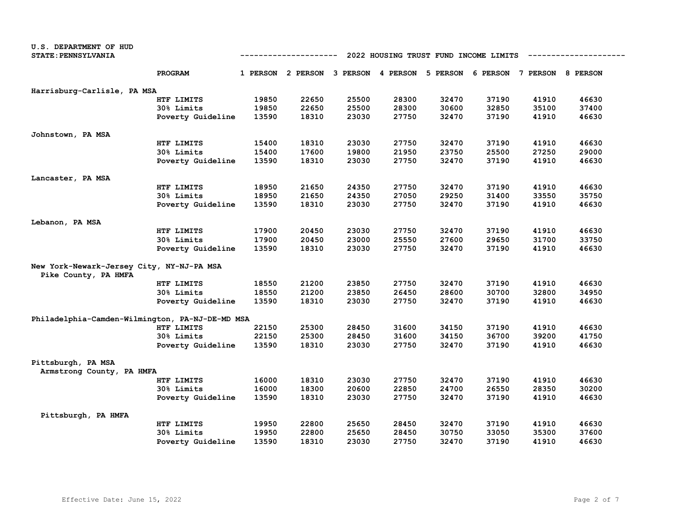| U.S. DEPARTMENT OF HUD                          |                   |                                                     |       |       |       |       |                                                                         |       |       |  |
|-------------------------------------------------|-------------------|-----------------------------------------------------|-------|-------|-------|-------|-------------------------------------------------------------------------|-------|-------|--|
| <b>STATE: PENNSYLVANIA</b>                      |                   | 2022 HOUSING TRUST FUND INCOME LIMITS<br>---------- |       |       |       |       |                                                                         |       |       |  |
|                                                 | PROGRAM           |                                                     |       |       |       |       | 1 PERSON 2 PERSON 3 PERSON 4 PERSON 5 PERSON 6 PERSON 7 PERSON 8 PERSON |       |       |  |
| Harrisburg-Carlisle, PA MSA                     |                   |                                                     |       |       |       |       |                                                                         |       |       |  |
|                                                 | HTF LIMITS        | 19850                                               | 22650 | 25500 | 28300 | 32470 | 37190                                                                   | 41910 | 46630 |  |
|                                                 | 30% Limits        | 19850                                               | 22650 | 25500 | 28300 | 30600 | 32850                                                                   | 35100 | 37400 |  |
|                                                 | Poverty Guideline | 13590                                               | 18310 | 23030 | 27750 | 32470 | 37190                                                                   | 41910 | 46630 |  |
| Johnstown, PA MSA                               |                   |                                                     |       |       |       |       |                                                                         |       |       |  |
|                                                 | HTF LIMITS        | 15400                                               | 18310 | 23030 | 27750 | 32470 | 37190                                                                   | 41910 | 46630 |  |
|                                                 | 30% Limits        | 15400                                               | 17600 | 19800 | 21950 | 23750 | 25500                                                                   | 27250 | 29000 |  |
|                                                 | Poverty Guideline | 13590                                               | 18310 | 23030 | 27750 | 32470 | 37190                                                                   | 41910 | 46630 |  |
| Lancaster, PA MSA                               |                   |                                                     |       |       |       |       |                                                                         |       |       |  |
|                                                 | HTF LIMITS        | 18950                                               | 21650 | 24350 | 27750 | 32470 | 37190                                                                   | 41910 | 46630 |  |
|                                                 | 30% Limits        | 18950                                               | 21650 | 24350 | 27050 | 29250 | 31400                                                                   | 33550 | 35750 |  |
|                                                 | Poverty Guideline | 13590                                               | 18310 | 23030 | 27750 | 32470 | 37190                                                                   | 41910 | 46630 |  |
| Lebanon, PA MSA                                 |                   |                                                     |       |       |       |       |                                                                         |       |       |  |
|                                                 | HTF LIMITS        | 17900                                               | 20450 | 23030 | 27750 | 32470 | 37190                                                                   | 41910 | 46630 |  |
|                                                 | 30% Limits        | 17900                                               | 20450 | 23000 | 25550 | 27600 | 29650                                                                   | 31700 | 33750 |  |
|                                                 | Poverty Guideline | 13590                                               | 18310 | 23030 | 27750 | 32470 | 37190                                                                   | 41910 | 46630 |  |
| New York-Newark-Jersey City, NY-NJ-PA MSA       |                   |                                                     |       |       |       |       |                                                                         |       |       |  |
| Pike County, PA HMFA                            |                   |                                                     |       |       |       |       |                                                                         |       |       |  |
|                                                 | HTF LIMITS        | 18550                                               | 21200 | 23850 | 27750 | 32470 | 37190                                                                   | 41910 | 46630 |  |
|                                                 | 30% Limits        | 18550                                               | 21200 | 23850 | 26450 | 28600 | 30700                                                                   | 32800 | 34950 |  |
|                                                 | Poverty Guideline | 13590                                               | 18310 | 23030 | 27750 | 32470 | 37190                                                                   | 41910 | 46630 |  |
| Philadelphia-Camden-Wilmington, PA-NJ-DE-MD MSA |                   |                                                     |       |       |       |       |                                                                         |       |       |  |
|                                                 | HTF LIMITS        | 22150                                               | 25300 | 28450 | 31600 | 34150 | 37190                                                                   | 41910 | 46630 |  |
|                                                 | <b>30% Limits</b> | 22150                                               | 25300 | 28450 | 31600 | 34150 | 36700                                                                   | 39200 | 41750 |  |
|                                                 | Poverty Guideline | 13590                                               | 18310 | 23030 | 27750 | 32470 | 37190                                                                   | 41910 | 46630 |  |
| Pittsburgh, PA MSA                              |                   |                                                     |       |       |       |       |                                                                         |       |       |  |
| Armstrong County, PA HMFA                       |                   |                                                     |       |       |       |       |                                                                         |       |       |  |
|                                                 | HTF LIMITS        | 16000                                               | 18310 | 23030 | 27750 | 32470 | 37190                                                                   | 41910 | 46630 |  |
|                                                 | 30% Limits        | 16000                                               | 18300 | 20600 | 22850 | 24700 | 26550                                                                   | 28350 | 30200 |  |
|                                                 | Poverty Guideline | 13590                                               | 18310 | 23030 | 27750 | 32470 | 37190                                                                   | 41910 | 46630 |  |
| Pittsburgh, PA HMFA                             |                   |                                                     |       |       |       |       |                                                                         |       |       |  |
|                                                 | HTF LIMITS        | 19950                                               | 22800 | 25650 | 28450 | 32470 | 37190                                                                   | 41910 | 46630 |  |
|                                                 | 30% Limits        | 19950                                               | 22800 | 25650 | 28450 | 30750 | 33050                                                                   | 35300 | 37600 |  |
|                                                 | Poverty Guideline | 13590                                               | 18310 | 23030 | 27750 | 32470 | 37190                                                                   | 41910 | 46630 |  |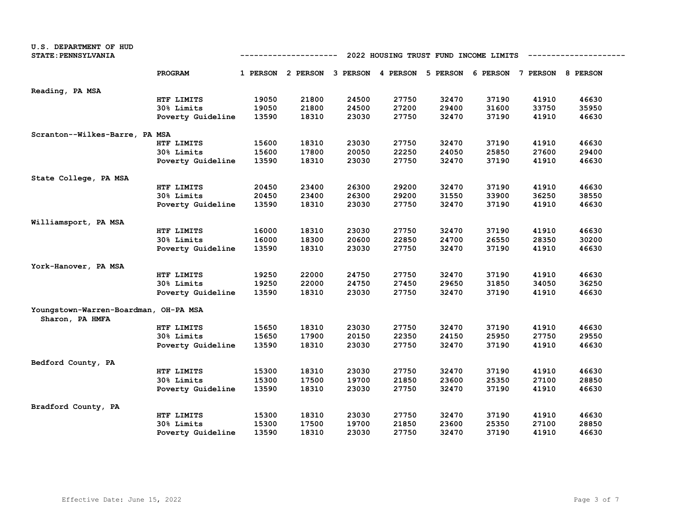| U.S. DEPARTMENT OF HUD<br><b>STATE: PENNSYLVANIA</b> |                   | 2022 HOUSING TRUST FUND INCOME LIMITS<br>----------- |       |       |       |                                                                         |       |       |       |
|------------------------------------------------------|-------------------|------------------------------------------------------|-------|-------|-------|-------------------------------------------------------------------------|-------|-------|-------|
|                                                      | PROGRAM           |                                                      |       |       |       | 1 PERSON 2 PERSON 3 PERSON 4 PERSON 5 PERSON 6 PERSON 7 PERSON 8 PERSON |       |       |       |
| Reading, PA MSA                                      |                   |                                                      |       |       |       |                                                                         |       |       |       |
|                                                      | HTF LIMITS        | 19050                                                | 21800 | 24500 | 27750 | 32470                                                                   | 37190 | 41910 | 46630 |
|                                                      | 30% Limits        | 19050                                                | 21800 | 24500 | 27200 | 29400                                                                   | 31600 | 33750 | 35950 |
|                                                      | Poverty Guideline | 13590                                                | 18310 | 23030 | 27750 | 32470                                                                   | 37190 | 41910 | 46630 |
| Scranton--Wilkes-Barre, PA MSA                       |                   |                                                      |       |       |       |                                                                         |       |       |       |
|                                                      | HTF LIMITS        | 15600                                                | 18310 | 23030 | 27750 | 32470                                                                   | 37190 | 41910 | 46630 |
|                                                      | 30% Limits        | 15600                                                | 17800 | 20050 | 22250 | 24050                                                                   | 25850 | 27600 | 29400 |
|                                                      | Poverty Guideline | 13590                                                | 18310 | 23030 | 27750 | 32470                                                                   | 37190 | 41910 | 46630 |
| State College, PA MSA                                |                   |                                                      |       |       |       |                                                                         |       |       |       |
|                                                      | HTF LIMITS        | 20450                                                | 23400 | 26300 | 29200 | 32470                                                                   | 37190 | 41910 | 46630 |
|                                                      | 30% Limits        | 20450                                                | 23400 | 26300 | 29200 | 31550                                                                   | 33900 | 36250 | 38550 |
|                                                      | Poverty Guideline | 13590                                                | 18310 | 23030 | 27750 | 32470                                                                   | 37190 | 41910 | 46630 |
| Williamsport, PA MSA                                 |                   |                                                      |       |       |       |                                                                         |       |       |       |
|                                                      | HTF LIMITS        | 16000                                                | 18310 | 23030 | 27750 | 32470                                                                   | 37190 | 41910 | 46630 |
|                                                      | 30% Limits        | 16000                                                | 18300 | 20600 | 22850 | 24700                                                                   | 26550 | 28350 | 30200 |
|                                                      | Poverty Guideline | 13590                                                | 18310 | 23030 | 27750 | 32470                                                                   | 37190 | 41910 | 46630 |
| York-Hanover, PA MSA                                 |                   |                                                      |       |       |       |                                                                         |       |       |       |
|                                                      | HTF LIMITS        | 19250                                                | 22000 | 24750 | 27750 | 32470                                                                   | 37190 | 41910 | 46630 |
|                                                      | <b>30% Limits</b> | 19250                                                | 22000 | 24750 | 27450 | 29650                                                                   | 31850 | 34050 | 36250 |
|                                                      | Poverty Guideline | 13590                                                | 18310 | 23030 | 27750 | 32470                                                                   | 37190 | 41910 | 46630 |
| Youngstown-Warren-Boardman, OH-PA MSA                |                   |                                                      |       |       |       |                                                                         |       |       |       |
| Sharon, PA HMFA                                      | HTF LIMITS        | 15650                                                | 18310 | 23030 | 27750 | 32470                                                                   | 37190 | 41910 | 46630 |
|                                                      | <b>30% Limits</b> | 15650                                                | 17900 | 20150 | 22350 | 24150                                                                   | 25950 | 27750 | 29550 |
|                                                      | Poverty Guideline | 13590                                                | 18310 | 23030 | 27750 | 32470                                                                   | 37190 | 41910 | 46630 |
| Bedford County, PA                                   |                   |                                                      |       |       |       |                                                                         |       |       |       |
|                                                      | HTF LIMITS        | 15300                                                | 18310 | 23030 | 27750 | 32470                                                                   | 37190 | 41910 | 46630 |
|                                                      | 30% Limits        | 15300                                                | 17500 | 19700 | 21850 | 23600                                                                   | 25350 | 27100 | 28850 |
|                                                      | Poverty Guideline | 13590                                                | 18310 | 23030 | 27750 | 32470                                                                   | 37190 | 41910 | 46630 |
| Bradford County, PA                                  |                   |                                                      |       |       |       |                                                                         |       |       |       |
|                                                      | HTF LIMITS        | 15300                                                | 18310 | 23030 | 27750 | 32470                                                                   | 37190 | 41910 | 46630 |
|                                                      | <b>30% Limits</b> | 15300                                                | 17500 | 19700 | 21850 | 23600                                                                   | 25350 | 27100 | 28850 |
|                                                      | Poverty Guideline | 13590                                                | 18310 | 23030 | 27750 | 32470                                                                   | 37190 | 41910 | 46630 |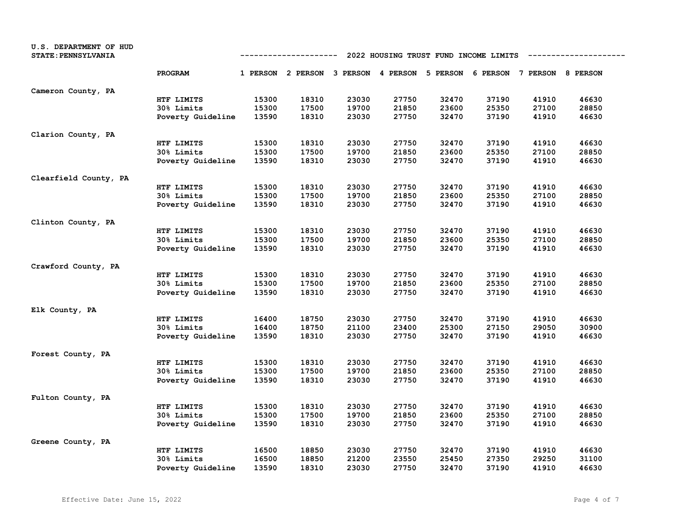| U.S. DEPARTMENT OF HUD<br><b>STATE: PENNSYLVANIA</b> |                   |       | -----------                                                             |       |       |       | 2022 HOUSING TRUST FUND INCOME LIMITS |       |       |
|------------------------------------------------------|-------------------|-------|-------------------------------------------------------------------------|-------|-------|-------|---------------------------------------|-------|-------|
|                                                      | PROGRAM           |       | 1 PERSON 2 PERSON 3 PERSON 4 PERSON 5 PERSON 6 PERSON 7 PERSON 8 PERSON |       |       |       |                                       |       |       |
| Cameron County, PA                                   |                   |       |                                                                         |       |       |       |                                       |       |       |
|                                                      | HTF LIMITS        | 15300 | 18310                                                                   | 23030 | 27750 | 32470 | 37190                                 | 41910 | 46630 |
|                                                      | 30% Limits        | 15300 | 17500                                                                   | 19700 | 21850 | 23600 | 25350                                 | 27100 | 28850 |
|                                                      | Poverty Guideline | 13590 | 18310                                                                   | 23030 | 27750 | 32470 | 37190                                 | 41910 | 46630 |
| Clarion County, PA                                   |                   |       |                                                                         |       |       |       |                                       |       |       |
|                                                      | HTF LIMITS        | 15300 | 18310                                                                   | 23030 | 27750 | 32470 | 37190                                 | 41910 | 46630 |
|                                                      | 30% Limits        | 15300 | 17500                                                                   | 19700 | 21850 | 23600 | 25350                                 | 27100 | 28850 |
|                                                      | Poverty Guideline | 13590 | 18310                                                                   | 23030 | 27750 | 32470 | 37190                                 | 41910 | 46630 |
| Clearfield County, PA                                |                   |       |                                                                         |       |       |       |                                       |       |       |
|                                                      | HTF LIMITS        | 15300 | 18310                                                                   | 23030 | 27750 | 32470 | 37190                                 | 41910 | 46630 |
|                                                      | 30% Limits        | 15300 | 17500                                                                   | 19700 | 21850 | 23600 | 25350                                 | 27100 | 28850 |
|                                                      | Poverty Guideline | 13590 | 18310                                                                   | 23030 | 27750 | 32470 | 37190                                 | 41910 | 46630 |
| Clinton County, PA                                   |                   |       |                                                                         |       |       |       |                                       |       |       |
|                                                      | HTF LIMITS        | 15300 | 18310                                                                   | 23030 | 27750 | 32470 | 37190                                 | 41910 | 46630 |
|                                                      | 30% Limits        | 15300 | 17500                                                                   | 19700 | 21850 | 23600 | 25350                                 | 27100 | 28850 |
|                                                      | Poverty Guideline | 13590 | 18310                                                                   | 23030 | 27750 | 32470 | 37190                                 | 41910 | 46630 |
| Crawford County, PA                                  |                   |       |                                                                         |       |       |       |                                       |       |       |
|                                                      | HTF LIMITS        | 15300 | 18310                                                                   | 23030 | 27750 | 32470 | 37190                                 | 41910 | 46630 |
|                                                      | 30% Limits        | 15300 | 17500                                                                   | 19700 | 21850 | 23600 | 25350                                 | 27100 | 28850 |
|                                                      | Poverty Guideline | 13590 | 18310                                                                   | 23030 | 27750 | 32470 | 37190                                 | 41910 | 46630 |
| Elk County, PA                                       |                   |       |                                                                         |       |       |       |                                       |       |       |
|                                                      | HTF LIMITS        | 16400 | 18750                                                                   | 23030 | 27750 | 32470 | 37190                                 | 41910 | 46630 |
|                                                      | 30% Limits        | 16400 | 18750                                                                   | 21100 | 23400 | 25300 | 27150                                 | 29050 | 30900 |
|                                                      | Poverty Guideline | 13590 | 18310                                                                   | 23030 | 27750 | 32470 | 37190                                 | 41910 | 46630 |
| Forest County, PA                                    |                   |       |                                                                         |       |       |       |                                       |       |       |
|                                                      | HTF LIMITS        | 15300 | 18310                                                                   | 23030 | 27750 | 32470 | 37190                                 | 41910 | 46630 |
|                                                      | 30% Limits        | 15300 | 17500                                                                   | 19700 | 21850 | 23600 | 25350                                 | 27100 | 28850 |
|                                                      | Poverty Guideline | 13590 | 18310                                                                   | 23030 | 27750 | 32470 | 37190                                 | 41910 | 46630 |
| Fulton County, PA                                    |                   |       |                                                                         |       |       |       |                                       |       |       |
|                                                      | HTF LIMITS        | 15300 | 18310                                                                   | 23030 | 27750 | 32470 | 37190                                 | 41910 | 46630 |
|                                                      | 30% Limits        | 15300 | 17500                                                                   | 19700 | 21850 | 23600 | 25350                                 | 27100 | 28850 |
|                                                      | Poverty Guideline | 13590 | 18310                                                                   | 23030 | 27750 | 32470 | 37190                                 | 41910 | 46630 |
| Greene County, PA                                    |                   |       |                                                                         |       |       |       |                                       |       |       |
|                                                      | HTF LIMITS        | 16500 | 18850                                                                   | 23030 | 27750 | 32470 | 37190                                 | 41910 | 46630 |
|                                                      | 30% Limits        | 16500 | 18850                                                                   | 21200 | 23550 | 25450 | 27350                                 | 29250 | 31100 |
|                                                      | Poverty Guideline | 13590 | 18310                                                                   | 23030 | 27750 | 32470 | 37190                                 | 41910 | 46630 |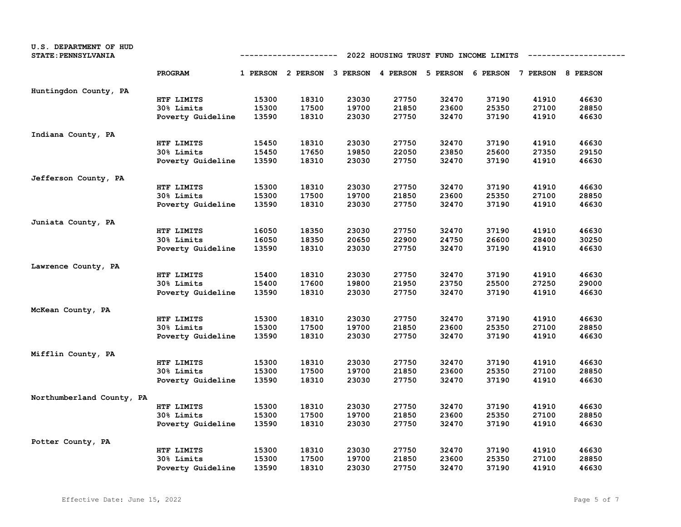| U.S. DEPARTMENT OF HUD<br><b>STATE: PENNSYLVANIA</b> |                   |       | ----------                                                              |       |       |       | 2022 HOUSING TRUST FUND INCOME LIMITS |       |       |
|------------------------------------------------------|-------------------|-------|-------------------------------------------------------------------------|-------|-------|-------|---------------------------------------|-------|-------|
|                                                      | PROGRAM           |       | 1 PERSON 2 PERSON 3 PERSON 4 PERSON 5 PERSON 6 PERSON 7 PERSON 8 PERSON |       |       |       |                                       |       |       |
| Huntingdon County, PA                                |                   |       |                                                                         |       |       |       |                                       |       |       |
|                                                      | HTF LIMITS        | 15300 | 18310                                                                   | 23030 | 27750 | 32470 | 37190                                 | 41910 | 46630 |
|                                                      | 30% Limits        | 15300 | 17500                                                                   | 19700 | 21850 | 23600 | 25350                                 | 27100 | 28850 |
|                                                      | Poverty Guideline | 13590 | 18310                                                                   | 23030 | 27750 | 32470 | 37190                                 | 41910 | 46630 |
| Indiana County, PA                                   |                   |       |                                                                         |       |       |       |                                       |       |       |
|                                                      | HTF LIMITS        | 15450 | 18310                                                                   | 23030 | 27750 | 32470 | 37190                                 | 41910 | 46630 |
|                                                      | 30% Limits        | 15450 | 17650                                                                   | 19850 | 22050 | 23850 | 25600                                 | 27350 | 29150 |
|                                                      | Poverty Guideline | 13590 | 18310                                                                   | 23030 | 27750 | 32470 | 37190                                 | 41910 | 46630 |
| Jefferson County, PA                                 |                   |       |                                                                         |       |       |       |                                       |       |       |
|                                                      | HTF LIMITS        | 15300 | 18310                                                                   | 23030 | 27750 | 32470 | 37190                                 | 41910 | 46630 |
|                                                      | 30% Limits        | 15300 | 17500                                                                   | 19700 | 21850 | 23600 | 25350                                 | 27100 | 28850 |
|                                                      | Poverty Guideline | 13590 | 18310                                                                   | 23030 | 27750 | 32470 | 37190                                 | 41910 | 46630 |
| Juniata County, PA                                   |                   |       |                                                                         |       |       |       |                                       |       |       |
|                                                      | HTF LIMITS        | 16050 | 18350                                                                   | 23030 | 27750 | 32470 | 37190                                 | 41910 | 46630 |
|                                                      | 30% Limits        | 16050 | 18350                                                                   | 20650 | 22900 | 24750 | 26600                                 | 28400 | 30250 |
|                                                      | Poverty Guideline | 13590 | 18310                                                                   | 23030 | 27750 | 32470 | 37190                                 | 41910 | 46630 |
| Lawrence County, PA                                  |                   |       |                                                                         |       |       |       |                                       |       |       |
|                                                      | HTF LIMITS        | 15400 | 18310                                                                   | 23030 | 27750 | 32470 | 37190                                 | 41910 | 46630 |
|                                                      | 30% Limits        | 15400 | 17600                                                                   | 19800 | 21950 | 23750 | 25500                                 | 27250 | 29000 |
|                                                      | Poverty Guideline | 13590 | 18310                                                                   | 23030 | 27750 | 32470 | 37190                                 | 41910 | 46630 |
| McKean County, PA                                    |                   |       |                                                                         |       |       |       |                                       |       |       |
|                                                      | HTF LIMITS        | 15300 | 18310                                                                   | 23030 | 27750 | 32470 | 37190                                 | 41910 | 46630 |
|                                                      | 30% Limits        | 15300 | 17500                                                                   | 19700 | 21850 | 23600 | 25350                                 | 27100 | 28850 |
|                                                      | Poverty Guideline | 13590 | 18310                                                                   | 23030 | 27750 | 32470 | 37190                                 | 41910 | 46630 |
| Mifflin County, PA                                   |                   |       |                                                                         |       |       |       |                                       |       |       |
|                                                      | HTF LIMITS        | 15300 | 18310                                                                   | 23030 | 27750 | 32470 | 37190                                 | 41910 | 46630 |
|                                                      | 30% Limits        | 15300 | 17500                                                                   | 19700 | 21850 | 23600 | 25350                                 | 27100 | 28850 |
|                                                      | Poverty Guideline | 13590 | 18310                                                                   | 23030 | 27750 | 32470 | 37190                                 | 41910 | 46630 |
| Northumberland County, PA                            |                   |       |                                                                         |       |       |       |                                       |       |       |
|                                                      | HTF LIMITS        | 15300 | 18310                                                                   | 23030 | 27750 | 32470 | 37190                                 | 41910 | 46630 |
|                                                      | 30% Limits        | 15300 | 17500                                                                   | 19700 | 21850 | 23600 | 25350                                 | 27100 | 28850 |
|                                                      | Poverty Guideline | 13590 | 18310                                                                   | 23030 | 27750 | 32470 | 37190                                 | 41910 | 46630 |
| Potter County, PA                                    |                   |       |                                                                         |       |       |       |                                       |       |       |
|                                                      | HTF LIMITS        | 15300 | 18310                                                                   | 23030 | 27750 | 32470 | 37190                                 | 41910 | 46630 |
|                                                      | 30% Limits        | 15300 | 17500                                                                   | 19700 | 21850 | 23600 | 25350                                 | 27100 | 28850 |
|                                                      | Poverty Guideline | 13590 | 18310                                                                   | 23030 | 27750 | 32470 | 37190                                 | 41910 | 46630 |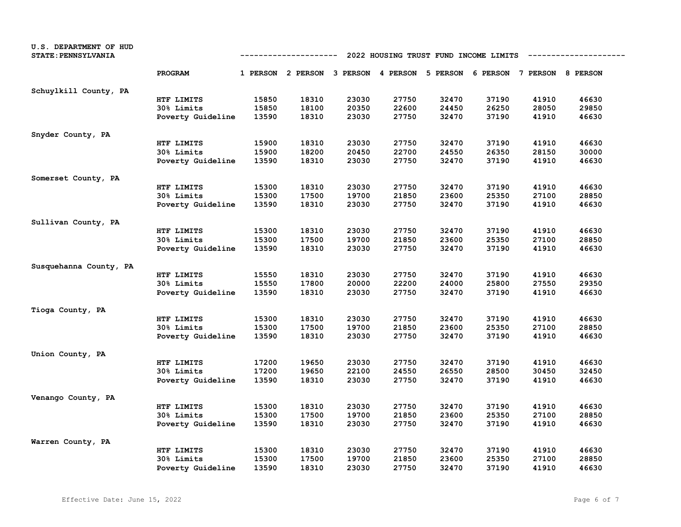| U.S. DEPARTMENT OF HUD<br><b>STATE: PENNSYLVANIA</b> |                   |       | ----------                                                              |       |       | 2022 HOUSING TRUST FUND INCOME LIMITS |       |       |       |
|------------------------------------------------------|-------------------|-------|-------------------------------------------------------------------------|-------|-------|---------------------------------------|-------|-------|-------|
|                                                      | PROGRAM           |       | 1 PERSON 2 PERSON 3 PERSON 4 PERSON 5 PERSON 6 PERSON 7 PERSON 8 PERSON |       |       |                                       |       |       |       |
| Schuylkill County, PA                                |                   |       |                                                                         |       |       |                                       |       |       |       |
|                                                      | HTF LIMITS        | 15850 | 18310                                                                   | 23030 | 27750 | 32470                                 | 37190 | 41910 | 46630 |
|                                                      | 30% Limits        | 15850 | 18100                                                                   | 20350 | 22600 | 24450                                 | 26250 | 28050 | 29850 |
|                                                      | Poverty Guideline | 13590 | 18310                                                                   | 23030 | 27750 | 32470                                 | 37190 | 41910 | 46630 |
| Snyder County, PA                                    |                   |       |                                                                         |       |       |                                       |       |       |       |
|                                                      | HTF LIMITS        | 15900 | 18310                                                                   | 23030 | 27750 | 32470                                 | 37190 | 41910 | 46630 |
|                                                      | 30% Limits        | 15900 | 18200                                                                   | 20450 | 22700 | 24550                                 | 26350 | 28150 | 30000 |
|                                                      | Poverty Guideline | 13590 | 18310                                                                   | 23030 | 27750 | 32470                                 | 37190 | 41910 | 46630 |
| Somerset County, PA                                  |                   |       |                                                                         |       |       |                                       |       |       |       |
|                                                      | HTF LIMITS        | 15300 | 18310                                                                   | 23030 | 27750 | 32470                                 | 37190 | 41910 | 46630 |
|                                                      | 30% Limits        | 15300 | 17500                                                                   | 19700 | 21850 | 23600                                 | 25350 | 27100 | 28850 |
|                                                      | Poverty Guideline | 13590 | 18310                                                                   | 23030 | 27750 | 32470                                 | 37190 | 41910 | 46630 |
| Sullivan County, PA                                  |                   |       |                                                                         |       |       |                                       |       |       |       |
|                                                      | HTF LIMITS        | 15300 | 18310                                                                   | 23030 | 27750 | 32470                                 | 37190 | 41910 | 46630 |
|                                                      | 30% Limits        | 15300 | 17500                                                                   | 19700 | 21850 | 23600                                 | 25350 | 27100 | 28850 |
|                                                      | Poverty Guideline | 13590 | 18310                                                                   | 23030 | 27750 | 32470                                 | 37190 | 41910 | 46630 |
| Susquehanna County, PA                               |                   |       |                                                                         |       |       |                                       |       |       |       |
|                                                      | HTF LIMITS        | 15550 | 18310                                                                   | 23030 | 27750 | 32470                                 | 37190 | 41910 | 46630 |
|                                                      | 30% Limits        | 15550 | 17800                                                                   | 20000 | 22200 | 24000                                 | 25800 | 27550 | 29350 |
|                                                      | Poverty Guideline | 13590 | 18310                                                                   | 23030 | 27750 | 32470                                 | 37190 | 41910 | 46630 |
| Tioga County, PA                                     |                   |       |                                                                         |       |       |                                       |       |       |       |
|                                                      | HTF LIMITS        | 15300 | 18310                                                                   | 23030 | 27750 | 32470                                 | 37190 | 41910 | 46630 |
|                                                      | <b>30% Limits</b> | 15300 | 17500                                                                   | 19700 | 21850 | 23600                                 | 25350 | 27100 | 28850 |
|                                                      | Poverty Guideline | 13590 | 18310                                                                   | 23030 | 27750 | 32470                                 | 37190 | 41910 | 46630 |
| Union County, PA                                     |                   |       |                                                                         |       |       |                                       |       |       |       |
|                                                      | HTF LIMITS        | 17200 | 19650                                                                   | 23030 | 27750 | 32470                                 | 37190 | 41910 | 46630 |
|                                                      | 30% Limits        | 17200 | 19650                                                                   | 22100 | 24550 | 26550                                 | 28500 | 30450 | 32450 |
|                                                      | Poverty Guideline | 13590 | 18310                                                                   | 23030 | 27750 | 32470                                 | 37190 | 41910 | 46630 |
| Venango County, PA                                   |                   |       |                                                                         |       |       |                                       |       |       |       |
|                                                      | HTF LIMITS        | 15300 | 18310                                                                   | 23030 | 27750 | 32470                                 | 37190 | 41910 | 46630 |
|                                                      | 30% Limits        | 15300 | 17500                                                                   | 19700 | 21850 | 23600                                 | 25350 | 27100 | 28850 |
|                                                      | Poverty Guideline | 13590 | 18310                                                                   | 23030 | 27750 | 32470                                 | 37190 | 41910 | 46630 |
| Warren County, PA                                    |                   |       |                                                                         |       |       |                                       |       |       |       |
|                                                      | HTF LIMITS        | 15300 | 18310                                                                   | 23030 | 27750 | 32470                                 | 37190 | 41910 | 46630 |
|                                                      | 30% Limits        | 15300 | 17500                                                                   | 19700 | 21850 | 23600                                 | 25350 | 27100 | 28850 |
|                                                      | Poverty Guideline | 13590 | 18310                                                                   | 23030 | 27750 | 32470                                 | 37190 | 41910 | 46630 |